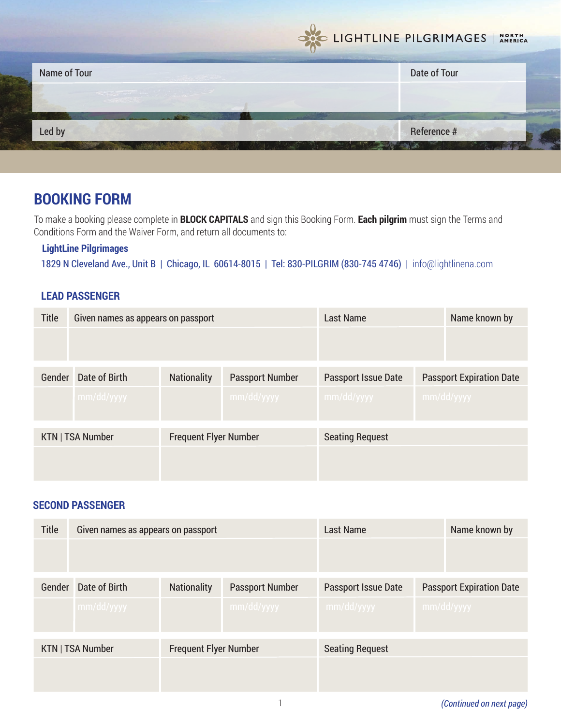

# **BOOKING FORM**

To make a booking please complete in **BLOCK CAPITALS** and sign this Booking Form. **Each pilgrim** must sign the Terms and Conditions Form and the Waiver Form, and return all documents to:

## **LightLine Pilgrimages**

1829 N Cleveland Ave., Unit B | Chicago, IL 60614-8015 | Tel: 830-PILGRIM (830-745 4746) | info@lightlinena.com

## **LEAD PASSENGER**

| <b>Title</b>            | Given names as appears on passport |                                              | <b>Last Name</b> |                            | Name known by                   |            |
|-------------------------|------------------------------------|----------------------------------------------|------------------|----------------------------|---------------------------------|------------|
|                         |                                    |                                              |                  |                            |                                 |            |
| Gender<br>Date of Birth |                                    | <b>Nationality</b><br><b>Passport Number</b> |                  | <b>Passport Issue Date</b> | <b>Passport Expiration Date</b> |            |
|                         | mm/dd/yyyy                         |                                              | mm/dd/yyyy       | mm/dd/yyyy                 |                                 | mm/dd/yyyy |
| KTN   TSA Number        |                                    | <b>Frequent Flyer Number</b>                 |                  | <b>Seating Request</b>     |                                 |            |
|                         |                                    |                                              |                  |                            |                                 |            |

#### **SECOND PASSENGER**

| <b>Title</b>            | Given names as appears on passport |                              | <b>Last Name</b>       |                            | Name known by                   |            |
|-------------------------|------------------------------------|------------------------------|------------------------|----------------------------|---------------------------------|------------|
|                         |                                    |                              |                        |                            |                                 |            |
|                         |                                    |                              |                        |                            |                                 |            |
| Date of Birth<br>Gender |                                    | <b>Nationality</b>           | <b>Passport Number</b> | <b>Passport Issue Date</b> | <b>Passport Expiration Date</b> |            |
|                         | mm/dd/yyyy                         |                              | mm/dd/yyyy             | mm/dd/yyyy                 |                                 | mm/dd/yyyy |
| KTN   TSA Number        |                                    | <b>Frequent Flyer Number</b> |                        | <b>Seating Request</b>     |                                 |            |
|                         |                                    |                              |                        |                            |                                 |            |
|                         |                                    |                              |                        |                            |                                 |            |